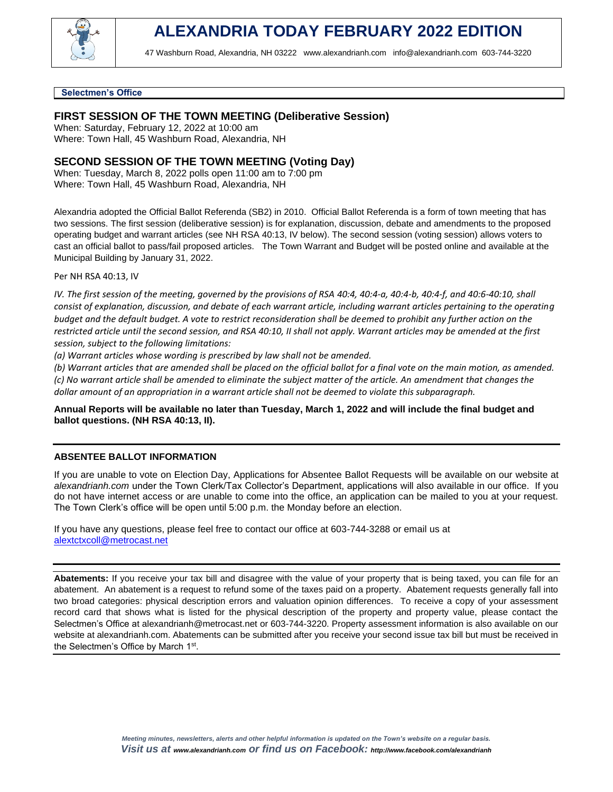

47 Washburn Road, Alexandria, NH 03222 [www.alexandrianh.com](http://www.alexandrianh.com/) info@alexandrianh.com 603-744-3220

#### **Selectmen's Office**

## **FIRST SESSION OF THE TOWN MEETING (Deliberative Session)**

When: Saturday, February 12, 2022 at 10:00 am Where: Town Hall, 45 Washburn Road, Alexandria, NH

# **SECOND SESSION OF THE TOWN MEETING (Voting Day)**

When: Tuesday, March 8, 2022 polls open 11:00 am to 7:00 pm Where: Town Hall, 45 Washburn Road, Alexandria, NH

Alexandria adopted the Official Ballot Referenda (SB2) in 2010. Official Ballot Referenda is a form of town meeting that has two sessions. The first session (deliberative session) is for explanation, discussion, debate and amendments to the proposed operating budget and warrant articles (see NH RSA 40:13, IV below). The second session (voting session) allows voters to cast an official ballot to pass/fail proposed articles. The Town Warrant and Budget will be posted online and available at the Municipal Building by January 31, 2022.

Per NH RSA 40:13, IV

*IV. The first session of the meeting, governed by the provisions of RSA 40:4, 40:4-a, 40:4-b, 40:4-f, and 40:6-40:10, shall consist of explanation, discussion, and debate of each warrant article, including warrant articles pertaining to the operating budget and the default budget. A vote to restrict reconsideration shall be deemed to prohibit any further action on the restricted article until the second session, and RSA 40:10, II shall not apply. Warrant articles may be amended at the first session, subject to the following limitations:*

*(a) Warrant articles whose wording is prescribed by law shall not be amended.*

*(b) Warrant articles that are amended shall be placed on the official ballot for a final vote on the main motion, as amended. (c) No warrant article shall be amended to eliminate the subject matter of the article. An amendment that changes the dollar amount of an appropriation in a warrant article shall not be deemed to violate this subparagraph.*

#### **Annual Reports will be available no later than Tuesday, March 1, 2022 and will include the final budget and ballot questions. (NH RSA 40:13, II).**

### **ABSENTEE BALLOT INFORMATION**

If you are unable to vote on Election Day, Applications for Absentee Ballot Requests will be available on our website at *alexandrianh.com* under the Town Clerk/Tax Collector's Department, applications will also available in our office. If you do not have internet access or are unable to come into the office, an application can be mailed to you at your request. The Town Clerk's office will be open until 5:00 p.m. the Monday before an election.

If you have any questions, please feel free to contact our office at 603-744-3288 or email us at [alextctxcoll@metrocast.net](mailto:alextctxcoll@metrocast.net)

**Abatements:** If you receive your tax bill and disagree with the value of your property that is being taxed, you can file for an abatement. An abatement is a request to refund some of the taxes paid on a property. Abatement requests generally fall into two broad categories: physical description errors and valuation opinion differences. To receive a copy of your assessment record card that shows what is listed for the physical description of the property and property value, please contact the Selectmen's Office at [alexandrianh@metrocast.net](mailto:alexandrianh@metrocast.net) or 603-744-3220. Property assessment information is also available on our website at alexandrianh.com. Abatements can be submitted after you receive your second issue tax bill but must be received in the Selectmen's Office by March 1<sup>st</sup>.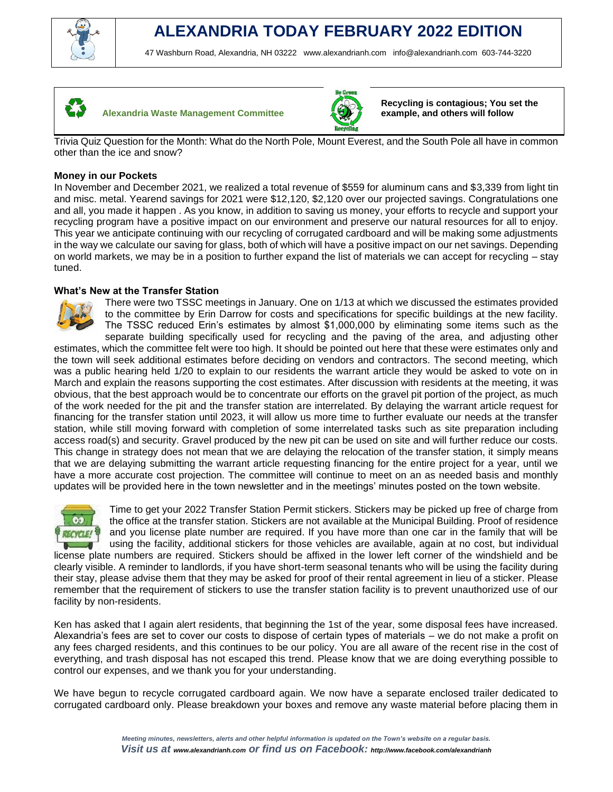

# **ALEXANDRIA TODAY FEBRUARY 2022 EDITION**

47 Washburn Road, Alexandria, NH 03222 [www.alexandrianh.com](http://www.alexandrianh.com/) info@alexandrianh.com 603-744-3220



**Alexandria Waste Management Committee** 



**Recycling is contagious; You set the example, and others will follow**

Trivia Quiz Question for the Month: What do the North Pole, Mount Everest, and the South Pole all have in common other than the ice and snow?

## **Money in our Pockets**

In November and December 2021, we realized a total revenue of \$559 for aluminum cans and \$3,339 from light tin and misc. metal. Yearend savings for 2021 were \$12,120, \$2,120 over our projected savings. Congratulations one and all, you made it happen . As you know, in addition to saving us money, your efforts to recycle and support your recycling program have a positive impact on our environment and preserve our natural resources for all to enjoy. This year we anticipate continuing with our recycling of corrugated cardboard and will be making some adjustments in the way we calculate our saving for glass, both of which will have a positive impact on our net savings. Depending on world markets, we may be in a position to further expand the list of materials we can accept for recycling – stay tuned.

# **What's New at the Transfer Station**



There were two TSSC meetings in January. One on 1/13 at which we discussed the estimates provided to the committee by Erin Darrow for costs and specifications for specific buildings at the new facility. The TSSC reduced Erin's estimates by almost \$1,000,000 by eliminating some items such as the separate building specifically used for recycling and the paving of the area, and adjusting other

estimates, which the committee felt were too high. It should be pointed out here that these were estimates only and the town will seek additional estimates before deciding on vendors and contractors. The second meeting, which was a public hearing held 1/20 to explain to our residents the warrant article they would be asked to vote on in March and explain the reasons supporting the cost estimates. After discussion with residents at the meeting, it was obvious, that the best approach would be to concentrate our efforts on the gravel pit portion of the project, as much of the work needed for the pit and the transfer station are interrelated. By delaying the warrant article request for financing for the transfer station until 2023, it will allow us more time to further evaluate our needs at the transfer station, while still moving forward with completion of some interrelated tasks such as site preparation including access road(s) and security. Gravel produced by the new pit can be used on site and will further reduce our costs. This change in strategy does not mean that we are delaying the relocation of the transfer station, it simply means that we are delaying submitting the warrant article requesting financing for the entire project for a year, until we have a more accurate cost projection. The committee will continue to meet on an as needed basis and monthly updates will be provided here in the town newsletter and in the meetings' minutes posted on the town website.



Time to get your 2022 Transfer Station Permit stickers. Stickers may be picked up free of charge from the office at the transfer station. Stickers are not available at the Municipal Building. Proof of residence and you license plate number are required. If you have more than one car in the family that will be using the facility, additional stickers for those vehicles are available, again at no cost, but individual license plate numbers are required. Stickers should be affixed in the lower left corner of the windshield and be clearly visible. A reminder to landlords, if you have short-term seasonal tenants who will be using the facility during their stay, please advise them that they may be asked for proof of their rental agreement in lieu of a sticker. Please remember that the requirement of stickers to use the transfer station facility is to prevent unauthorized use of our

facility by non-residents.

Ken has asked that I again alert residents, that beginning the 1st of the year, some disposal fees have increased. Alexandria's fees are set to cover our costs to dispose of certain types of materials – we do not make a profit on any fees charged residents, and this continues to be our policy. You are all aware of the recent rise in the cost of everything, and trash disposal has not escaped this trend. Please know that we are doing everything possible to control our expenses, and we thank you for your understanding.

We have begun to recycle corrugated cardboard again. We now have a separate enclosed trailer dedicated to corrugated cardboard only. Please breakdown your boxes and remove any waste material before placing them in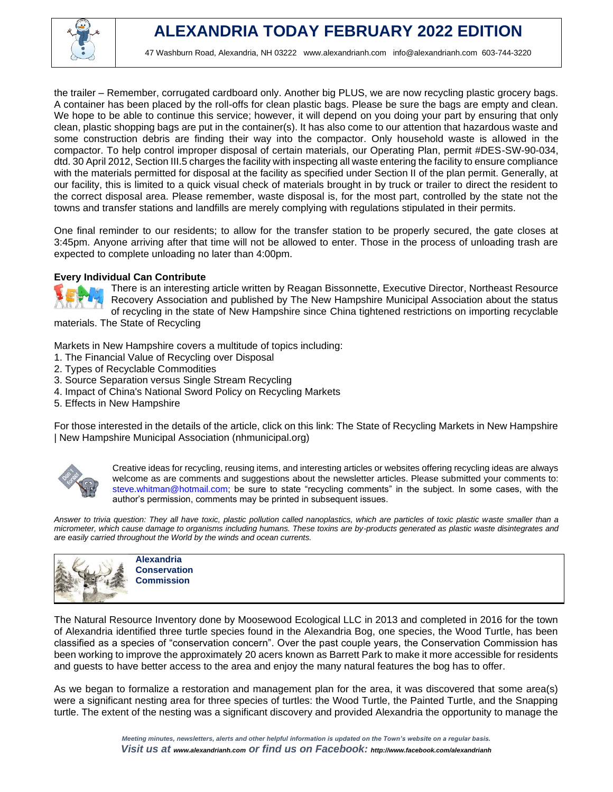

the trailer – Remember, corrugated cardboard only. Another big PLUS, we are now recycling plastic grocery bags. A container has been placed by the roll-offs for clean plastic bags. Please be sure the bags are empty and clean. We hope to be able to continue this service; however, it will depend on you doing your part by ensuring that only clean, plastic shopping bags are put in the container(s). It has also come to our attention that hazardous waste and some construction debris are finding their way into the compactor. Only household waste is allowed in the compactor. To help control improper disposal of certain materials, our Operating Plan, permit #DES-SW-90-034, dtd. 30 April 2012, Section III.5 charges the facility with inspecting all waste entering the facility to ensure compliance with the materials permitted for disposal at the facility as specified under Section II of the plan permit. Generally, at our facility, this is limited to a quick visual check of materials brought in by truck or trailer to direct the resident to the correct disposal area. Please remember, waste disposal is, for the most part, controlled by the state not the towns and transfer stations and landfills are merely complying with regulations stipulated in their permits.

One final reminder to our residents; to allow for the transfer station to be properly secured, the gate closes at 3:45pm. Anyone arriving after that time will not be allowed to enter. Those in the process of unloading trash are expected to complete unloading no later than 4:00pm.

#### **Every Individual Can Contribute**



There is an interesting article written by Reagan Bissonnette, Executive Director, Northeast Resource Recovery Association and published by The New Hampshire Municipal Association about the status of recycling in the state of New Hampshire since China tightened restrictions on importing recyclable materials. The State of Recycling

Markets in New Hampshire covers a multitude of topics including:

- 1. The Financial Value of Recycling over Disposal
- 2. Types of Recyclable Commodities
- 3. Source Separation versus Single Stream Recycling
- 4. Impact of China's National Sword Policy on Recycling Markets
- 5. Effects in New Hampshire

For those interested in the details of the article, click on this link: The State of Recycling Markets in New Hampshire | New Hampshire Municipal Association (nhmunicipal.org)



Creative ideas for recycling, reusing items, and interesting articles or websites offering recycling ideas are always welcome as are comments and suggestions about the newsletter articles. Please submitted your comments to: steve.whitman@hotmail.com; be sure to state "recycling comments" in the subject. In some cases, with the author's permission, comments may be printed in subsequent issues.

*Answer to trivia question: They all have toxic, plastic pollution called nanoplastics, which are particles of toxic plastic waste smaller than a micrometer, which cause damage to organisms including humans. These toxins are by-products generated as plastic waste disintegrates and are easily carried throughout the World by the winds and ocean currents.*



**Alexandria Conservation Commission**

The Natural Resource Inventory done by Moosewood Ecological LLC in 2013 and completed in 2016 for the town of Alexandria identified three turtle species found in the Alexandria Bog, one species, the Wood Turtle, has been classified as a species of "conservation concern". Over the past couple years, the Conservation Commission has been working to improve the approximately 20 acers known as Barrett Park to make it more accessible for residents and guests to have better access to the area and enjoy the many natural features the bog has to offer.

As we began to formalize a restoration and management plan for the area, it was discovered that some area(s) were a significant nesting area for three species of turtles: the Wood Turtle, the Painted Turtle, and the Snapping turtle. The extent of the nesting was a significant discovery and provided Alexandria the opportunity to manage the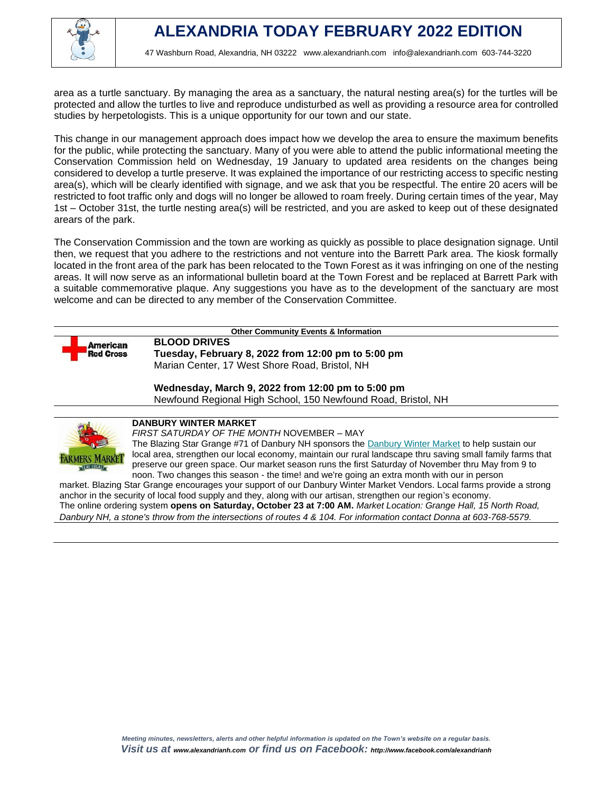

area as a turtle sanctuary. By managing the area as a sanctuary, the natural nesting area(s) for the turtles will be protected and allow the turtles to live and reproduce undisturbed as well as providing a resource area for controlled studies by herpetologists. This is a unique opportunity for our town and our state.

This change in our management approach does impact how we develop the area to ensure the maximum benefits for the public, while protecting the sanctuary. Many of you were able to attend the public informational meeting the Conservation Commission held on Wednesday, 19 January to updated area residents on the changes being considered to develop a turtle preserve. It was explained the importance of our restricting access to specific nesting area(s), which will be clearly identified with signage, and we ask that you be respectful. The entire 20 acers will be restricted to foot traffic only and dogs will no longer be allowed to roam freely. During certain times of the year, May 1st – October 31st, the turtle nesting area(s) will be restricted, and you are asked to keep out of these designated arears of the park.

The Conservation Commission and the town are working as quickly as possible to place designation signage. Until then, we request that you adhere to the restrictions and not venture into the Barrett Park area. The kiosk formally located in the front area of the park has been relocated to the Town Forest as it was infringing on one of the nesting areas. It will now serve as an informational bulletin board at the Town Forest and be replaced at Barrett Park with a suitable commemorative plaque. Any suggestions you have as to the development of the sanctuary are most welcome and can be directed to any member of the Conservation Committee.



**Other Community Events & Information**

**BLOOD DRIVES Tuesday, February 8, 2022 from 12:00 pm to 5:00 pm** Marian Center, 17 West Shore Road, Bristol, NH

**Wednesday, March 9, 2022 from 12:00 pm to 5:00 pm** Newfound Regional High School, 150 Newfound Road, Bristol, NH



# **DANBURY WINTER MARKET**

*FIRST SATURDAY OF THE MONTH* NOVEMBER – MAY

The Blazing Star Grange #71 of Danbury NH sponsors the [Danbury Winter Market](https://harvesttomarket.com/farmers-market/Danbury-Winter-Market) to help sustain our local area, strengthen our local economy, maintain our rural landscape thru saving small family farms that preserve our green space. Our market season runs the first Saturday of November thru May from 9 to noon. Two changes this season - the time! and we're going an extra month with our in person

market. Blazing Star Grange encourages your support of our Danbury Winter Market Vendors. Local farms provide a strong anchor in the security of local food supply and they, along with our artisan, strengthen our region's economy. [The online ordering system](https://harvesttomarket.com/farmers-market/Danbury-Winter-Market) **opens on Saturday, October 23 at 7:00 AM.** *Market Location: Grange Hall, 15 North Road, Danbury NH, a stone's throw from the intersections of routes 4 & 104. For information contact Donna at 603-768-5579.*